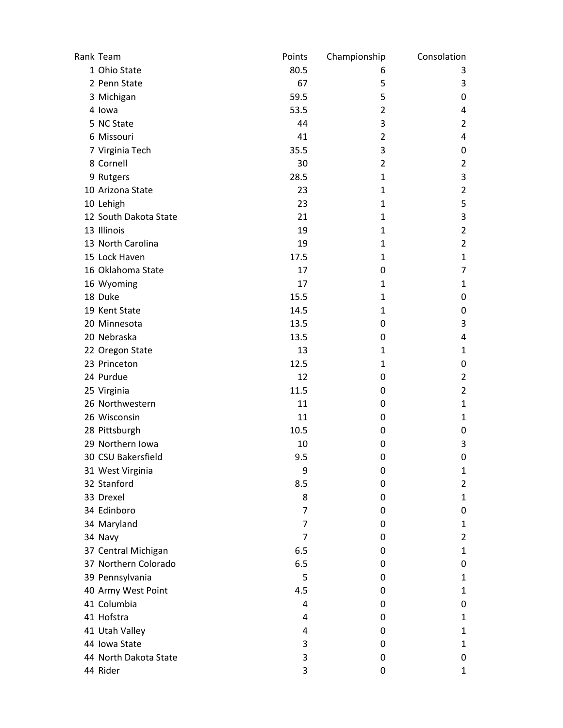| Rank Team             | Points         | Championship   | Consolation    |
|-----------------------|----------------|----------------|----------------|
| 1 Ohio State          | 80.5           | 6              | 3              |
| 2 Penn State          | 67             | 5              | 3              |
| 3 Michigan            | 59.5           | 5              | 0              |
| 4 lowa                | 53.5           | 2              | 4              |
| 5 NC State            | 44             | 3              | $\overline{2}$ |
| 6 Missouri            | 41             | $\overline{2}$ | 4              |
| 7 Virginia Tech       | 35.5           | 3              | 0              |
| 8 Cornell             | 30             | $\overline{2}$ | $\overline{2}$ |
| 9 Rutgers             | 28.5           | 1              | 3              |
| 10 Arizona State      | 23             | $\mathbf{1}$   | $\overline{2}$ |
| 10 Lehigh             | 23             | 1              | 5              |
| 12 South Dakota State | 21             | 1              | 3              |
| 13 Illinois           | 19             | 1              | $\overline{2}$ |
| 13 North Carolina     | 19             | 1              | $\overline{2}$ |
| 15 Lock Haven         | 17.5           | $\mathbf{1}$   | $\mathbf{1}$   |
| 16 Oklahoma State     | 17             | 0              | $\overline{7}$ |
| 16 Wyoming            | 17             | $\mathbf{1}$   | $\mathbf{1}$   |
| 18 Duke               | 15.5           | 1              | 0              |
| 19 Kent State         | 14.5           | 1              | 0              |
| 20 Minnesota          | 13.5           | 0              | 3              |
| 20 Nebraska           | 13.5           | 0              | 4              |
| 22 Oregon State       | 13             | $\mathbf{1}$   | 1              |
| 23 Princeton          | 12.5           | 1              | 0              |
| 24 Purdue             | 12             | 0              | $\overline{2}$ |
| 25 Virginia           | 11.5           | 0              | $\overline{2}$ |
| 26 Northwestern       | 11             | 0              | $\mathbf{1}$   |
| 26 Wisconsin          | 11             | 0              | 1              |
| 28 Pittsburgh         | 10.5           | 0              | 0              |
| 29 Northern Iowa      | 10             | 0              | 3              |
| 30 CSU Bakersfield    | 9.5            | 0              | 0              |
| 31 West Virginia      | 9              | 0              | 1              |
| 32 Stanford           | 8.5            | 0              | $\overline{2}$ |
| 33 Drexel             | 8              | 0              | $\mathbf{1}$   |
| 34 Edinboro           | 7              | 0              | 0              |
| 34 Maryland           | 7              | 0              | 1              |
| 34 Navy               | $\overline{7}$ | 0              | $\overline{2}$ |
| 37 Central Michigan   | 6.5            | 0              | $\mathbf{1}$   |
| 37 Northern Colorado  | 6.5            | 0              | 0              |
| 39 Pennsylvania       | 5              | 0              | $\mathbf{1}$   |
| 40 Army West Point    | 4.5            | 0              | 1              |
| 41 Columbia           | 4              | 0              | $\mathbf 0$    |
| 41 Hofstra            | 4              | 0              | $\mathbf{1}$   |
| 41 Utah Valley        | 4              | 0              | 1              |
| 44 Iowa State         | 3              | 0              | 1              |
| 44 North Dakota State | 3              | 0              | 0              |
| 44 Rider              | 3              | 0              | $\mathbf{1}$   |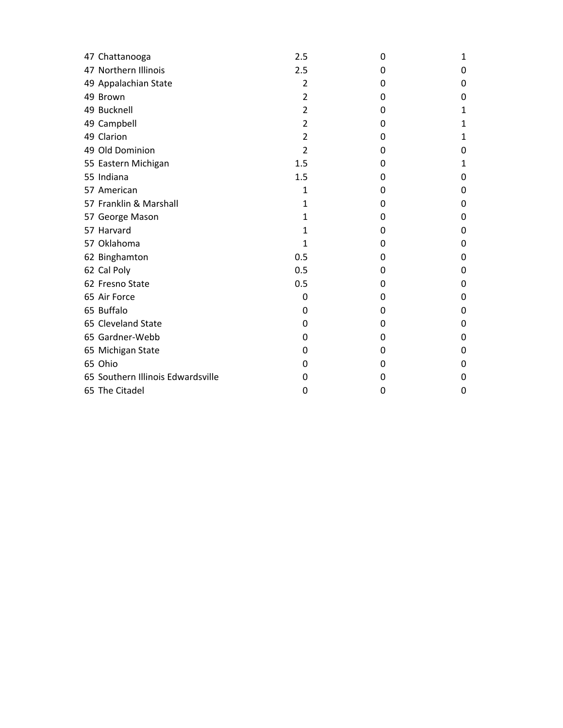| 47 Chattanooga                    | 2.5            | 0 | 1 |
|-----------------------------------|----------------|---|---|
| 47 Northern Illinois              | 2.5            | 0 | 0 |
| 49 Appalachian State              | 2              | 0 | 0 |
| 49 Brown                          | 2              | 0 | 0 |
| 49 Bucknell                       | 2              | 0 | 1 |
| 49 Campbell                       | $\overline{2}$ | 0 | 1 |
| 49 Clarion                        | 2              | 0 | 1 |
| 49 Old Dominion                   | 2              | 0 | 0 |
| 55 Eastern Michigan               | 1.5            | 0 | 1 |
| 55 Indiana                        | 1.5            | 0 | 0 |
| 57 American                       | 1              | 0 | 0 |
| 57 Franklin & Marshall            | 1              | 0 | 0 |
| 57 George Mason                   | 1              | 0 | 0 |
| 57 Harvard                        | 1              | 0 | 0 |
| 57 Oklahoma                       | 1              | 0 | 0 |
| 62 Binghamton                     | 0.5            | 0 | 0 |
| 62 Cal Poly                       | 0.5            | 0 | 0 |
| 62 Fresno State                   | 0.5            | 0 | 0 |
| 65 Air Force                      | 0              | 0 | 0 |
| 65 Buffalo                        | 0              | 0 | 0 |
| 65 Cleveland State                | 0              | 0 | 0 |
| 65 Gardner-Webb                   | 0              | 0 | 0 |
| 65 Michigan State                 | 0              | 0 | 0 |
| 65 Ohio                           | 0              | 0 | 0 |
| 65 Southern Illinois Edwardsville | 0              | 0 | 0 |
| 65 The Citadel                    | 0              | 0 | 0 |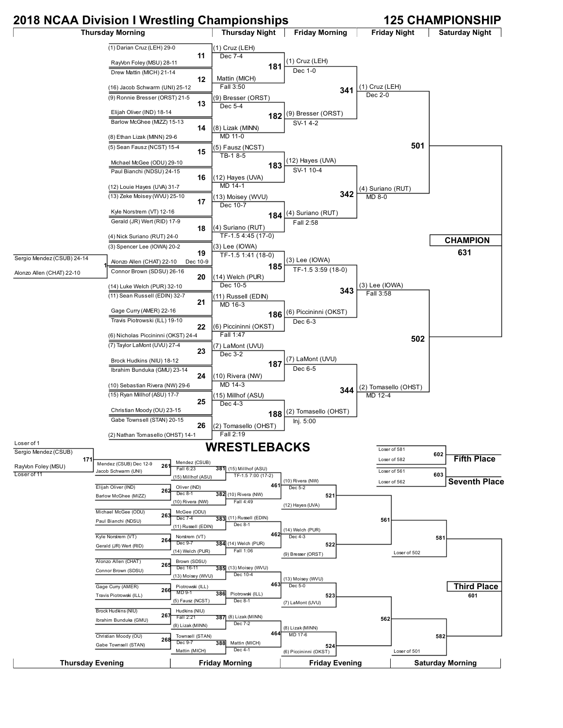## **2018 NCAA Division I Wrestling Championships 125 CHAMPIONSHIP**

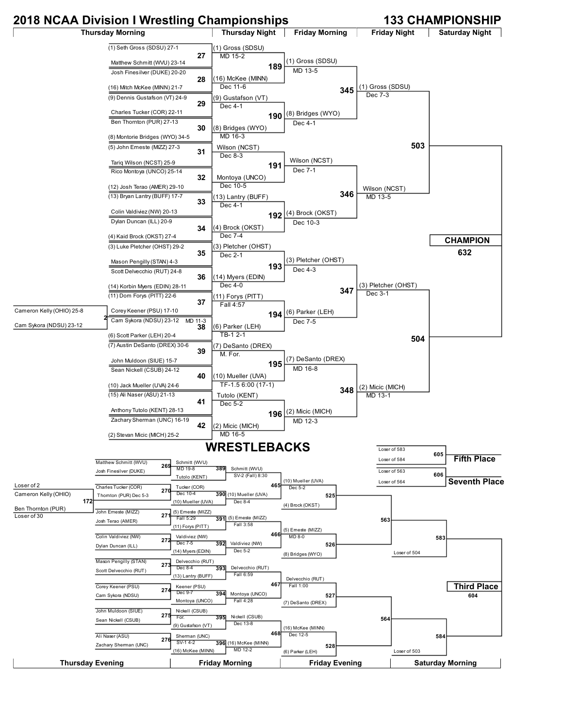## **2018 NCAA Division I Wrestling Championships 133 CHAMPIONSHIP** Thursday Morning **Thursday Night | Friday Morning | Friday Night | Saturday Night** (1) Seth Gross (SDSU) 27-1 **27** Matthew Schmitt (WVU) 23-14 Josh Finesilver (DUKE) 20-20 **28** (16) Mitch McKee (MINN) 21-7 (1) Gross (SDSU) MD 15-2 **189** (16) McKee (MINN) Dec 11-6 (1) Gross (SDSU) MD 13-5 **345** (1) Gross (SDSU)

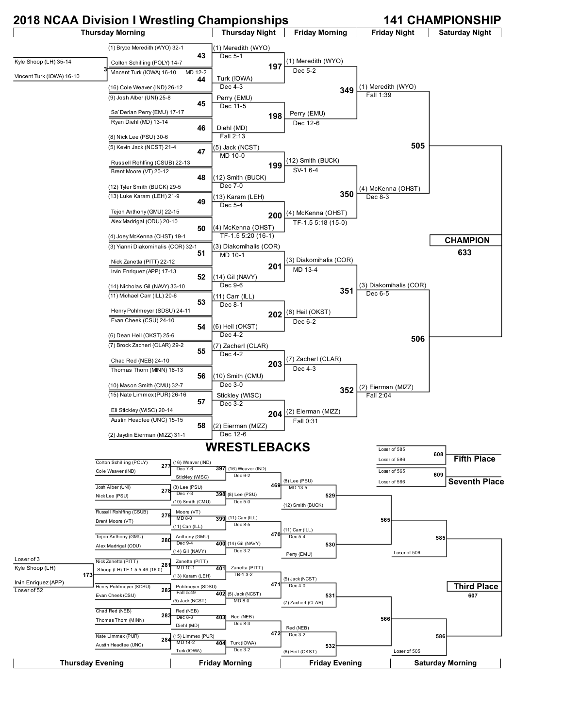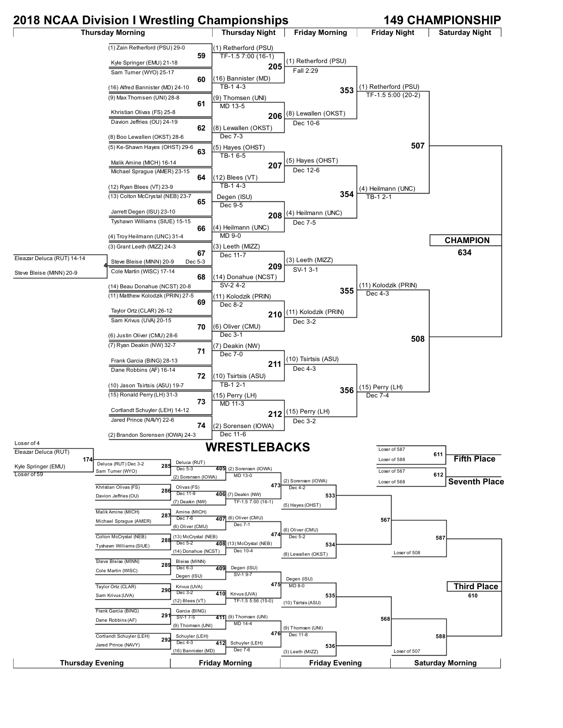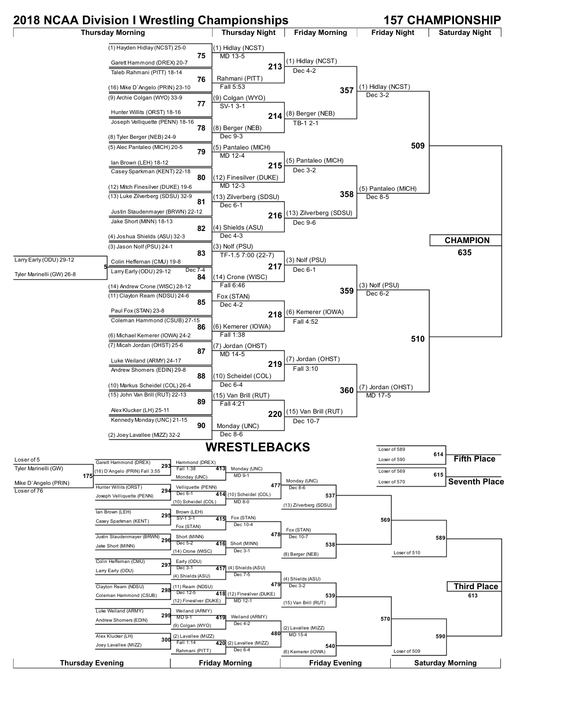## **2018 NCAA Division I Wrestling Championships 157 CHAMPIONSHIP**

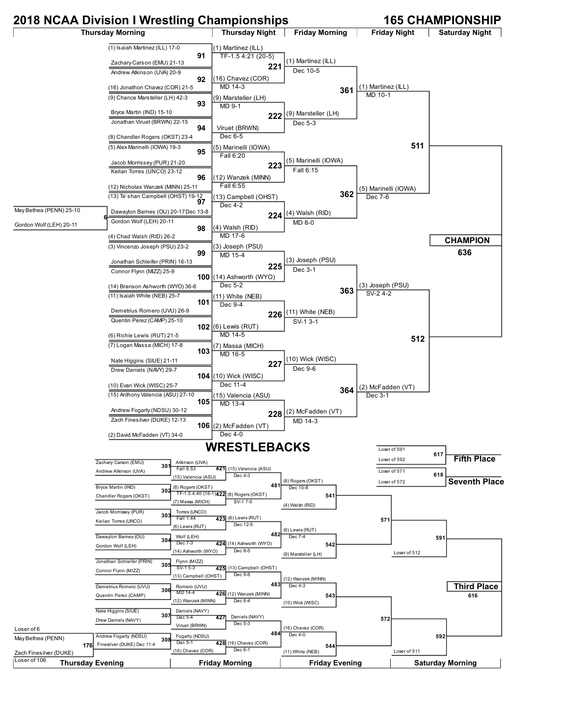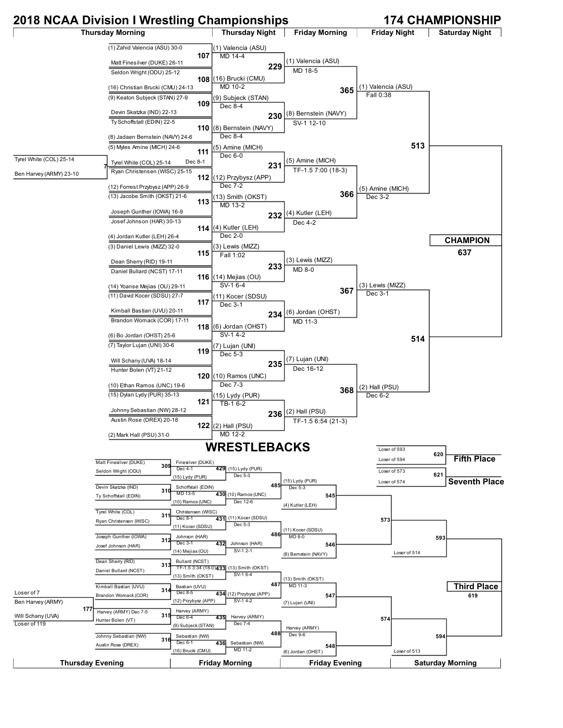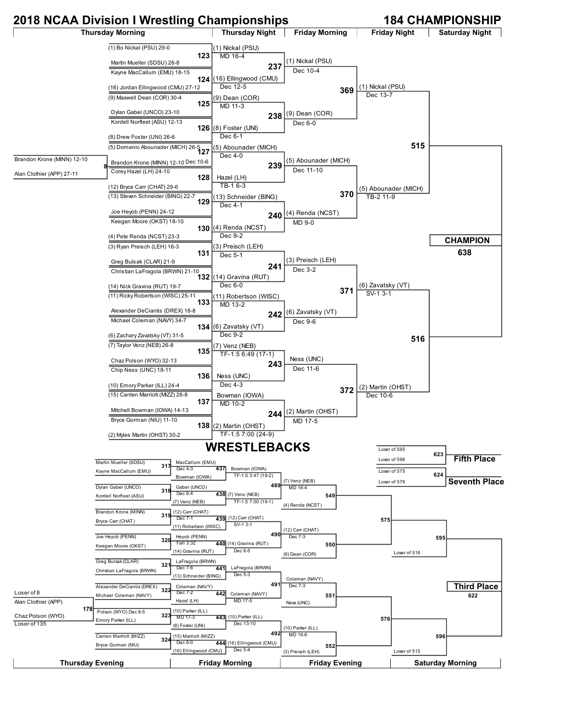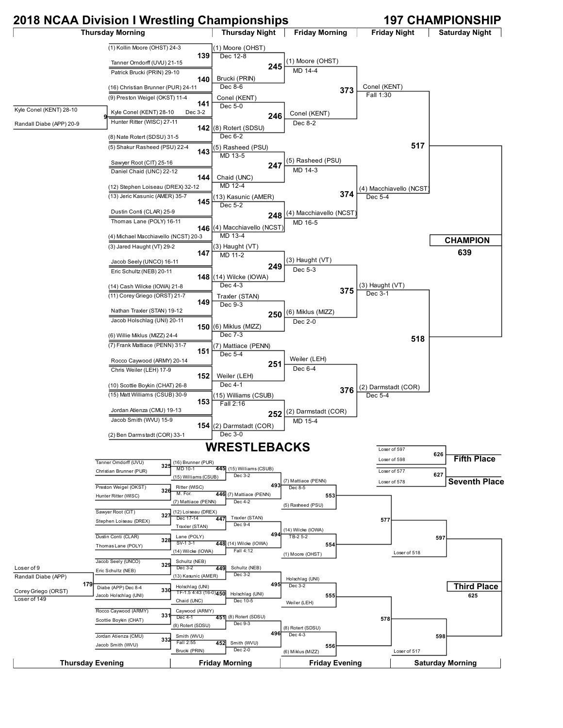